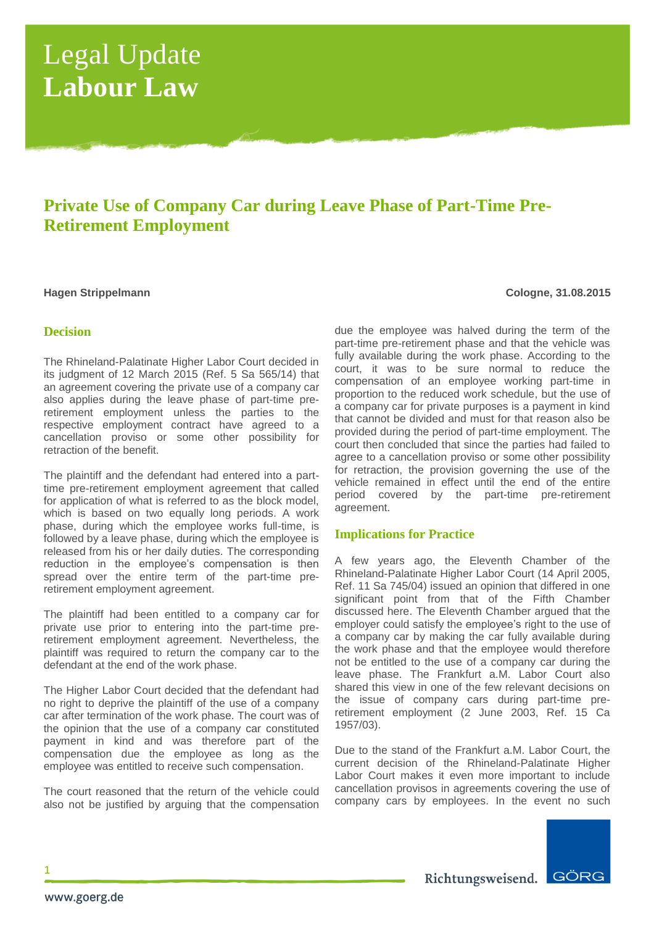# Legal Update **Labour Law**

## **Private Use of Company Car during Leave Phase of Part-Time Pre-Retirement Employment**

## **Hagen Strippelmann Cologne, 31.08.2015**

## **Decision**

The Rhineland-Palatinate Higher Labor Court decided in its judgment of 12 March 2015 (Ref. 5 Sa 565/14) that an agreement covering the private use of a company car also applies during the leave phase of part-time preretirement employment unless the parties to the respective employment contract have agreed to a cancellation proviso or some other possibility for retraction of the benefit.

The plaintiff and the defendant had entered into a parttime pre-retirement employment agreement that called for application of what is referred to as the block model, which is based on two equally long periods. A work phase, during which the employee works full-time, is followed by a leave phase, during which the employee is released from his or her daily duties. The corresponding reduction in the employee's compensation is then spread over the entire term of the part-time preretirement employment agreement.

The plaintiff had been entitled to a company car for private use prior to entering into the part-time preretirement employment agreement. Nevertheless, the plaintiff was required to return the company car to the defendant at the end of the work phase.

The Higher Labor Court decided that the defendant had no right to deprive the plaintiff of the use of a company car after termination of the work phase. The court was of the opinion that the use of a company car constituted payment in kind and was therefore part of the compensation due the employee as long as the employee was entitled to receive such compensation.

The court reasoned that the return of the vehicle could also not be justified by arguing that the compensation

due the employee was halved during the term of the part-time pre-retirement phase and that the vehicle was fully available during the work phase. According to the court, it was to be sure normal to reduce the compensation of an employee working part-time in proportion to the reduced work schedule, but the use of a company car for private purposes is a payment in kind that cannot be divided and must for that reason also be provided during the period of part-time employment. The court then concluded that since the parties had failed to agree to a cancellation proviso or some other possibility for retraction, the provision governing the use of the vehicle remained in effect until the end of the entire period covered by the part-time pre-retirement agreement.

## **Implications for Practice**

A few years ago, the Eleventh Chamber of the Rhineland-Palatinate Higher Labor Court (14 April 2005, Ref. 11 Sa 745/04) issued an opinion that differed in one significant point from that of the Fifth Chamber discussed here. The Eleventh Chamber argued that the employer could satisfy the employee's right to the use of a company car by making the car fully available during the work phase and that the employee would therefore not be entitled to the use of a company car during the leave phase. The Frankfurt a.M. Labor Court also shared this view in one of the few relevant decisions on the issue of company cars during part-time preretirement employment (2 June 2003, Ref. 15 Ca 1957/03).

Due to the stand of the Frankfurt a.M. Labor Court, the current decision of the Rhineland-Palatinate Higher Labor Court makes it even more important to include cancellation provisos in agreements covering the use of company cars by employees. In the event no such